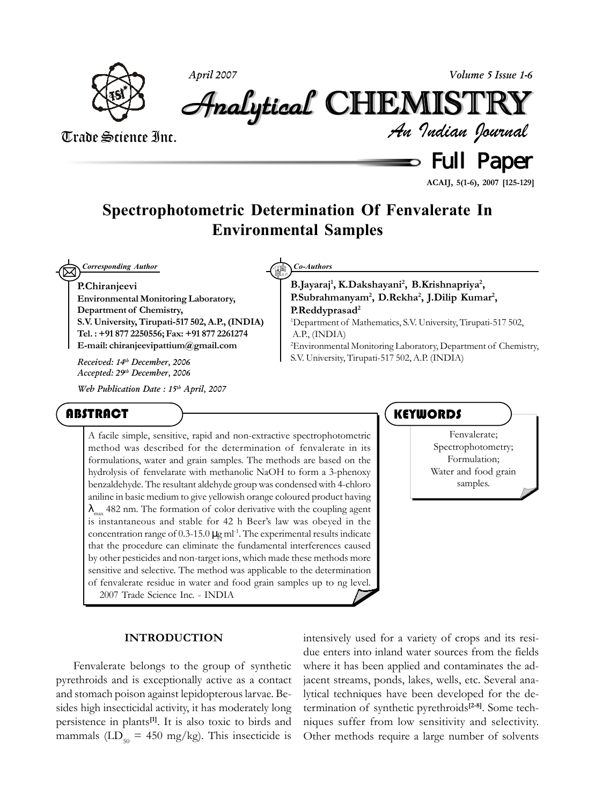

*April 2007 Volume 5 Issue 1-6*

*An Indian Journal* Analytical Analytical Analytical Analytical Analytical Analytical CHEMISTR CHEMISTR HEMISTR HEMISTRYY

# Trade Science Inc.

Full Paper

**ACAIJ, 5(1-6), 2007 [125-129]**

# **Spectrophotometric Determination Of Fenvalerate In Environmental Samples**

 $\boxtimes$ *Corresponding Author Co-Authors*

#### **P.Chiranjeevi**

**Environmental Monitoring Laboratory, Department of Chemistry, S.V. University, Tirupati-517 502, A.P., (INDIA) Tel. : +91 877 2250556; Fax: +91 877 2261274 E-mail: chiranjeevipattium@gmail.com**

*Accepted: 29th December, 2006*

*Web Publication Date : 15th April, 2007*

# **ABSTRACT**

**B.Jayaraj1 , K.Dakshayani2 , B.Krishnapriya2 , P.Subrahmanyam2 , D.Rekha2 , J.Dilip Kumar2 , P.Reddyprasad2**

1 Department of Mathematics, S.V. University, Tirupati-517 502, A.P., (INDIA)

2 Environmental Monitoring Laboratory, Department of Chemistry, S.V. University, Tirupati-517 502, A.P. (INDIA) *Received: 14th December, 2006*

A facile simple, sensitive, rapid and non-extractive spectrophotometric method was described for the determination of fenvalerate in its formulations, water and grain samples. The methods are based on the hydrolysis of fenvelarate with methanolic NaOH to form a 3-phenoxy benzaldehyde. The resultant aldehyde group was condensed with 4-chloro aniline in basic medium to give yellowish orange coloured product having  $\lambda_{\text{max}}$  482 nm. The formation of color derivative with the coupling agent is instantaneous and stable for 42 h Beer's law was obeyed in the concentration range of  $0.3$ -15.0  $\mu$ g ml<sup>-1</sup>. The experimental results indicate that the procedure can eliminate the fundamental interferences caused by other pesticides and non-target ions, which made these methods more sensitive and selective. The method was applicable to the determination of fenvalerate residue in water and food grain samples up to ng level. 2007 Trade Science Inc. - INDIA

## **KEYWORDS**

Fenvalerate; Spectrophotometry; Formulation; Water and food grain samples.

#### **INTRODUCTION**

Fenvalerate belongs to the group of synthetic pyrethroids and is exceptionally active as a contact and stomach poison against lepidopterous larvae. Besides high insecticidal activity, it has moderately long persistence in plants**[1]**. It is also toxic to birds and mammals ( $LD_{50} = 450$  mg/kg). This insecticide is intensively used for a variety of crops and its residue enters into inland water sources from the fields where it has been applied and contaminates the adjacent streams, ponds, lakes, wells, etc. Several analytical techniques have been developed for the determination of synthetic pyrethroids**[2-8]**. Some techniques suffer from low sensitivity and selectivity. Other methods require a large number of solvents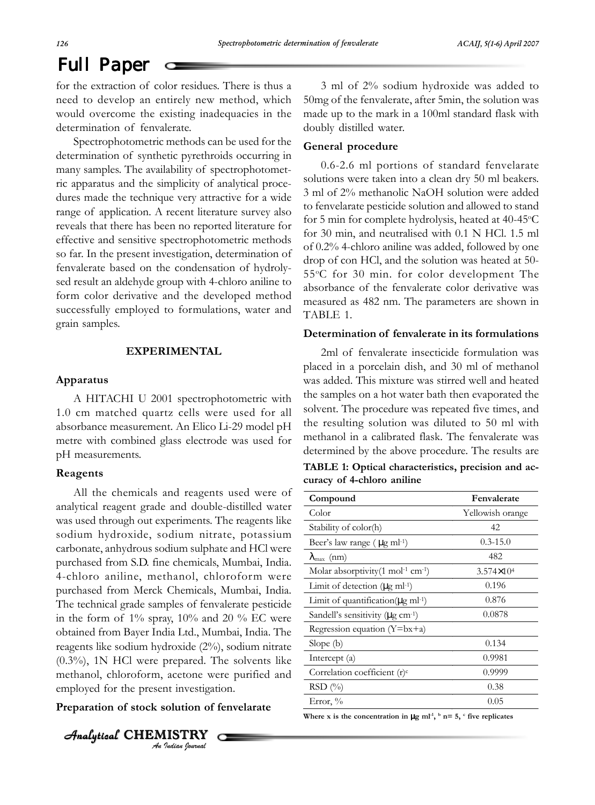# Full Paper

for the extraction of color residues. There is thus a need to develop an entirely new method, which would overcome the existing inadequacies in the determination of fenvalerate.

Spectrophotometric methods can be used for the determination of synthetic pyrethroids occurring in many samples. The availability of spectrophotometric apparatus and the simplicity of analytical procedures made the technique very attractive for a wide range of application. A recent literature survey also reveals that there has been no reported literature for effective and sensitive spectrophotometric methods so far. In the present investigation, determination of fenvalerate based on the condensation of hydrolysed result an aldehyde group with 4-chloro aniline to form color derivative and the developed method successfully employed to formulations, water and grain samples.

#### **EXPERIMENTAL**

#### **Apparatus**

A HITACHI U 2001 spectrophotometric with 1.0 cm matched quartz cells were used for all absorbance measurement. An Elico Li-29 model pH metre with combined glass electrode was used for pH measurements.

#### **Reagents**

All the chemicals and reagents used were of analytical reagent grade and double-distilled water was used through out experiments. The reagents like sodium hydroxide, sodium nitrate, potassium carbonate, anhydrous sodium sulphate and HCl were purchased from S.D. fine chemicals, Mumbai, India. 4-chloro aniline, methanol, chloroform were purchased from Merck Chemicals, Mumbai, India. The technical grade samples of fenvalerate pesticide in the form of  $1\%$  spray,  $10\%$  and  $20\%$  EC were obtained from Bayer India Ltd., Mumbai, India. The reagents like sodium hydroxide (2%), sodium nitrate (0.3%), 1N HCl were prepared. The solvents like methanol, chloroform, acetone were purified and employed for the present investigation.

#### **Preparation of stock solution of fenvelarate**

*An Indian Journal*  $A$ nalytical CHEMISTRY

3 ml of 2% sodium hydroxide was added to 50mg of the fenvalerate, after 5min, the solution was made up to the mark in a 100ml standard flask with doubly distilled water.

#### **General procedure**

0.6-2.6 ml portions of standard fenvelarate solutions were taken into a clean dry 50 ml beakers. 3 ml of 2% methanolic NaOH solution were added to fenvelarate pesticide solution and allowed to stand for 5 min for complete hydrolysis, heated at 40-45°C for 30 min, and neutralised with 0.1 N HCl. 1.5 ml of 0.2% 4-chloro aniline was added, followed by one drop of con HCl, and the solution was heated at 50- 55°C for 30 min. for color development The absorbance of the fenvalerate color derivative was measured as 482 nm. The parameters are shown in TABLE 1.

#### **Determination of fenvalerate in its formulations**

2ml of fenvalerate insecticide formulation was placed in a porcelain dish, and 30 ml of methanol was added. This mixture was stirred well and heated the samples on a hot water bath then evaporated the solvent. The procedure was repeated five times, and the resulting solution was diluted to 50 ml with methanol in a calibrated flask. The fenvalerate was determined by the above procedure. The results are **TABLE 1: Optical characteristics, precision and ac-**

|                            | mmmm at a parent changed the cross precision and ac- |
|----------------------------|------------------------------------------------------|
| curacy of 4-chloro aniline |                                                      |

| Compound                                                  | Fenvalerate           |
|-----------------------------------------------------------|-----------------------|
| Color                                                     | Yellowish orange      |
| Stability of color(h)                                     | 42                    |
| Beer's law range ( $\mu$ g ml <sup>-1</sup> )             | $0.3 - 15.0$          |
| $\lambda_{\text{max}}$ (nm)                               | 482                   |
| Molar absorptivity $(1 \text{ mol}^{-1} \text{ cm}^{-1})$ | $3.574 \times 10^{4}$ |
| Limit of detection ( $\mu$ g ml <sup>-1</sup> )           | 0.196                 |
| Limit of quantification( $\mu$ g ml <sup>-1</sup> )       | 0.876                 |
| Sandell's sensitivity ( $\mu$ g cm <sup>-1</sup> )        | 0.0878                |
| Regression equation $(Y=bx+a)$                            |                       |
| Slope $(b)$                                               | 0.134                 |
| Intercept (a)                                             | 0.9981                |
| Correlation coefficient (r) <sup>c</sup>                  | 0.9999                |
| RSD(%)                                                    | 0.38                  |
| Error, $\%$                                               | 0.05                  |

Where x is the concentration in  $\mu$ g ml<sup>-1</sup>, <sup>b</sup> n= 5, <sup>c</sup> five replicates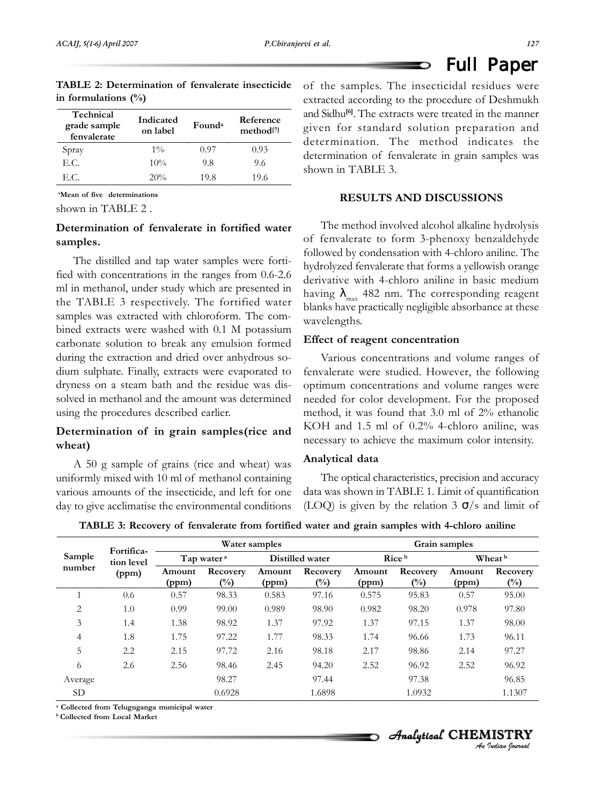Full Paper

| <b>TABLE 2: Determination of fenvalerate insecticide</b> of the |           |  |           |          |
|-----------------------------------------------------------------|-----------|--|-----------|----------|
| in formulations $(\%)$                                          |           |  |           | extracte |
| Technical                                                       | Indicated |  | Reference | and Sidh |

| Technical<br>grade sample<br>fenvalerate | Indicated<br>on label | Found <sup>a</sup> | Reference<br>method <sup>[7]</sup> |
|------------------------------------------|-----------------------|--------------------|------------------------------------|
| Spray                                    | $1\%$                 | 0.97               | 0.93                               |
| E.C.                                     | $10\%$                | 9.8                | 9.6                                |
| E.C.                                     | 20%                   | 19.8               | 19.6                               |

**a Mean of five determinations**

shown in TABLE 2 .

# **Determination of fenvalerate in fortified water samples.**

The distilled and tap water samples were fortified with concentrations in the ranges from 0.6-2.6 ml in methanol, under study which are presented in the TABLE 3 respectively. The fortified water samples was extracted with chloroform. The combined extracts were washed with 0.1 M potassium carbonate solution to break any emulsion formed during the extraction and dried over anhydrous sodium sulphate. Finally, extracts were evaporated to dryness on a steam bath and the residue was dissolved in methanol and the amount was determined using the procedures described earlier.

# **Determination of in grain samples(rice and wheat)**

A 50 g sample of grains (rice and wheat) was uniformly mixed with 10 ml of methanol containing various amounts of the insecticide, and left for one day to give acclimatise the environmental conditions

samples. The insecticidal residues were d according to the procedure of Deshmukh nu<sup>[6]</sup>. The extracts were treated in the manner given for standard solution preparation and determination. The method indicates the determination of fenvalerate in grain samples was shown in TABLE 3.

D

#### **RESULTS AND DISCUSSIONS**

The method involved alcohol alkaline hydrolysis of fenvalerate to form 3-phenoxy benzaldehyde followed by condensation with 4-chloro aniline. The hydrolyzed fenvalerate that forms a yellowish orange derivative with 4-chloro aniline in basic medium having  $\lambda_{\text{max}}$  482 nm. The corresponding reagent blanks have practically negligible absorbance at these wavelengths.

#### **Effect of reagent concentration**

Various concentrations and volume ranges of fenvalerate were studied. However, the following optimum concentrations and volume ranges were needed for color development. For the proposed method, it was found that 3.0 ml of 2% ethanolic KOH and 1.5 ml of 0.2% 4-chloro aniline, was necessary to achieve the maximum color intensity.

#### **Analytical data**

The optical characteristics, precision and accuracy data was shown in TABLE 1. Limit of quantification (LOQ) is given by the relation 3  $\sigma$ /s and limit of

|  | TABLE 3: Recovery of fenvalerate from fortified water and grain samples with 4-chloro anilin |  |  |  |  |  |  |  |  |
|--|----------------------------------------------------------------------------------------------|--|--|--|--|--|--|--|--|
|--|----------------------------------------------------------------------------------------------|--|--|--|--|--|--|--|--|

|                      | Fortifica- | Water samples          |                    |                 |                    | Grain samples   |                           |                 |                    |
|----------------------|------------|------------------------|--------------------|-----------------|--------------------|-----------------|---------------------------|-----------------|--------------------|
| Sample<br>tion level |            | Tap water <sup>a</sup> |                    | Distilled water |                    | Rice b          |                           | Wheat b         |                    |
| number               | (ppm)      | Amount<br>(ppm)        | Recovery<br>$(\%)$ | Amount<br>(ppm) | Recovery<br>$(\%)$ | Amount<br>(ppm) | Recovery<br>$(^{0}/_{0})$ | Amount<br>(ppm) | Recovery<br>$(\%)$ |
|                      | 0.6        | 0.57                   | 98.33              | 0.583           | 97.16              | 0.575           | 95.83                     | 0.57            | 95.00              |
| $\overline{2}$       | 1.0        | 0.99                   | 99.00              | 0.989           | 98.90              | 0.982           | 98.20                     | 0.978           | 97.80              |
| 3                    | 1.4        | 1.38                   | 98.92              | 1.37            | 97.92              | 1.37            | 97.15                     | 1.37            | 98.00              |
| 4                    | 1.8        | 1.75                   | 97.22              | 1.77            | 98.33              | 1.74            | 96.66                     | 1.73            | 96.11              |
| 5                    | 2.2        | 2.15                   | 97.72              | 2.16            | 98.18              | 2.17            | 98.86                     | 2.14            | 97.27              |
| 6                    | 2.6        | 2.56                   | 98.46              | 2.45            | 94.20              | 2.52            | 96.92                     | 2.52            | 96.92              |
| Average              |            |                        | 98.27              |                 | 97.44              |                 | 97.38                     |                 | 96.85              |
| SD.                  |            |                        | 0.6928             |                 | 1.6898             |                 | 1.0932                    |                 | 1.1307             |

**a Collected from Teluguganga municipal water**

**b Collected from Local Market**

*An Indian Journal* Analytical CHEMISTRY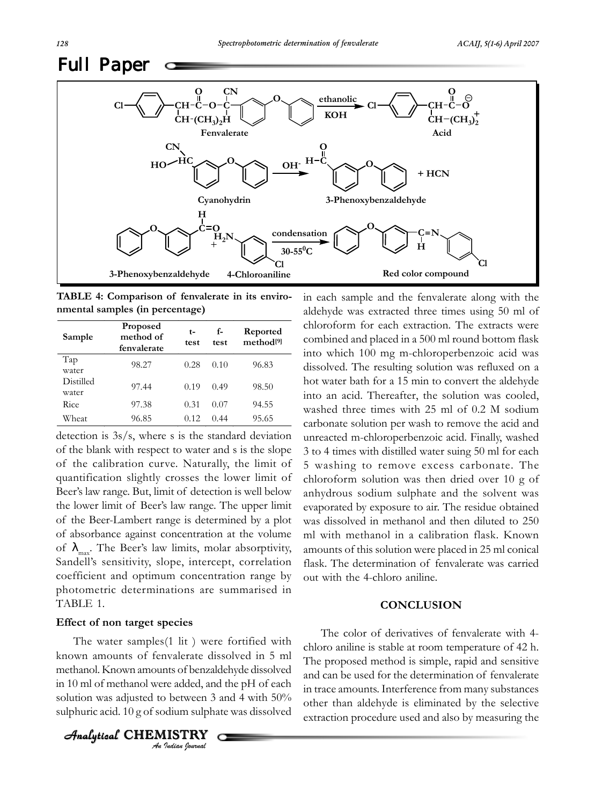

**TABLE 4: Comparison of fenvalerate in its environmental samples (in percentage)**

| Sample             | <b>Proposed</b><br>method of<br>fenvalerate | t-<br>test | f-<br>test | Reported<br>method <sup>[9]</sup> |
|--------------------|---------------------------------------------|------------|------------|-----------------------------------|
| Tap<br>water       | 98.27                                       | 0.28       | 0.10       | 96.83                             |
| Distilled<br>water | 97.44                                       | 0.19       | 0.49       | 98.50                             |
| Rice               | 97.38                                       | 0.31       | 0.07       | 94.55                             |
| Wheat              | 96.85                                       | 0.12       | 0.44       | 95.65                             |

detection is 3s/s, where s is the standard deviation of the blank with respect to water and s is the slope of the calibration curve. Naturally, the limit of quantification slightly crosses the lower limit of Beer's law range. But, limit of detection is well below the lower limit of Beer's law range. The upper limit of the Beer-Lambert range is determined by a plot of absorbance against concentration at the volume of  $\lambda_{\text{max}}$ . The Beer's law limits, molar absorptivity, Sandell's sensitivity, slope, intercept, correlation coefficient and optimum concentration range by photometric determinations are summarised in TABLE 1.

#### **Effect of non target species**

The water samples(1 lit ) were fortified with known amounts of fenvalerate dissolved in 5 ml methanol. Known amounts of benzaldehyde dissolved in 10 ml of methanol were added, and the pH of each solution was adjusted to between 3 and 4 with 50% sulphuric acid. 10 g of sodium sulphate was dissolved

*An Indian Journal*  $A$ nalytical CHEMISTRY

in each sample and the fenvalerate along with the aldehyde was extracted three times using 50 ml of chloroform for each extraction. The extracts were combined and placed in a 500 ml round bottom flask into which 100 mg m-chloroperbenzoic acid was dissolved. The resulting solution was refluxed on a hot water bath for a 15 min to convert the aldehyde into an acid. Thereafter, the solution was cooled, washed three times with 25 ml of 0.2 M sodium carbonate solution per wash to remove the acid and unreacted m-chloroperbenzoic acid. Finally, washed 3 to 4 times with distilled water suing 50 ml for each 5 washing to remove excess carbonate. The chloroform solution was then dried over 10 g of anhydrous sodium sulphate and the solvent was evaporated by exposure to air. The residue obtained was dissolved in methanol and then diluted to 250 ml with methanol in a calibration flask. Known amounts of this solution were placed in 25 ml conical flask. The determination of fenvalerate was carried out with the 4-chloro aniline.

#### **CONCLUSION**

The color of derivatives of fenvalerate with 4 chloro aniline is stable at room temperature of 42 h. The proposed method is simple, rapid and sensitive and can be used for the determination of fenvalerate in trace amounts. Interference from many substances other than aldehyde is eliminated by the selective extraction procedure used and also by measuring the